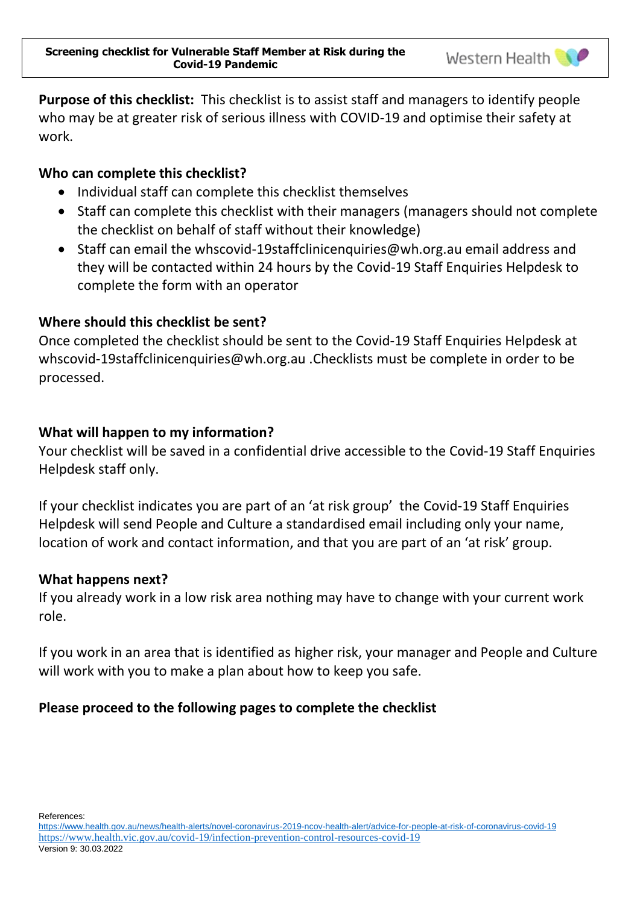**Purpose of this checklist:** This checklist is to assist staff and managers to identify people who may be at greater risk of serious illness with COVID-19 and optimise their safety at work.

### **Who can complete this checklist?**

- Individual staff can complete this checklist themselves
- Staff can complete this checklist with their managers (managers should not complete the checklist on behalf of staff without their knowledge)
- Staff can email the [whscovid-19staffclinicenquiries@wh.org.au](mailto:whscovid-19staffclinicenquiries@wh.org.au) email address and they will be contacted within 24 hours by the Covid-19 Staff Enquiries Helpdesk to complete the form with an operator

## **Where should this checklist be sent?**

Once completed the checklist should be sent to the Covid-19 Staff Enquiries Helpdesk at [whscovid-19staffclinicenquiries@wh.org.au](mailto:whscovid-19staffclinicenquiries@wh.org.au) .Checklists must be complete in order to be processed.

## **What will happen to my information?**

Your checklist will be saved in a confidential drive accessible to the Covid-19 Staff Enquiries Helpdesk staff only.

If your checklist indicates you are part of an 'at risk group' the Covid-19 Staff Enquiries Helpdesk will send People and Culture a standardised email including only your name, location of work and contact information, and that you are part of an 'at risk' group.

### **What happens next?**

If you already work in a low risk area nothing may have to change with your current work role.

If you work in an area that is identified as higher risk, your manager and People and Culture will work with you to make a plan about how to keep you safe.

# **Please proceed to the following pages to complete the checklist**

References:

<https://www.health.gov.au/news/health-alerts/novel-coronavirus-2019-ncov-health-alert/advice-for-people-at-risk-of-coronavirus-covid-19> <https://www.health.vic.gov.au/covid-19/infection-prevention-control-resources-covid-19> Version 9: 30.03.2022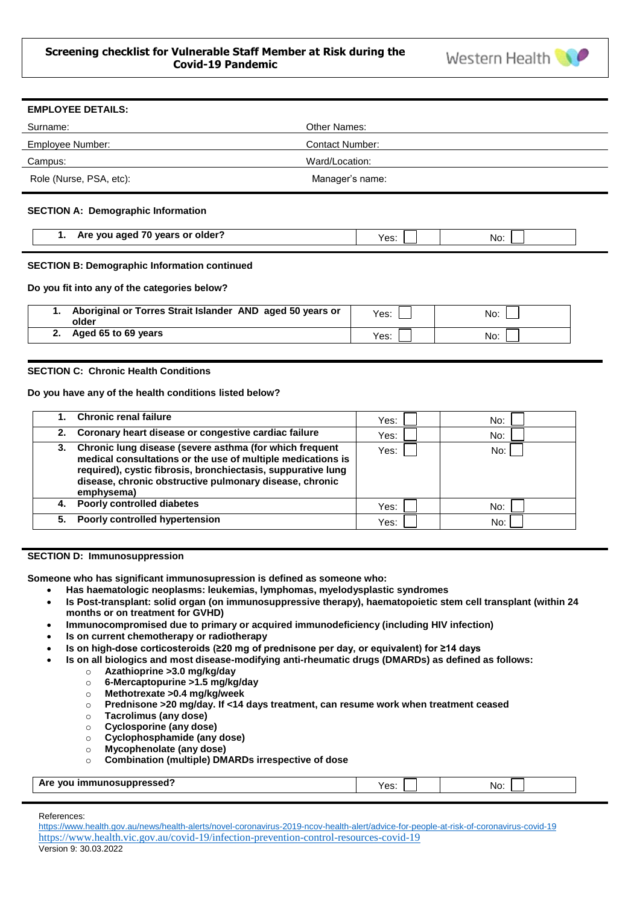

| <b>EMPLOYEE DETAILS:</b> |                        |
|--------------------------|------------------------|
| Surname:                 | Other Names:           |
| Employee Number:         | <b>Contact Number:</b> |
| Campus:                  | Ward/Location:         |
| Role (Nurse, PSA, etc):  | Manager's name:        |
|                          |                        |

### **SECTION A: Demographic Information**

| Are you aged 70 years or older? | YA S'<br>ಀ. | No. |
|---------------------------------|-------------|-----|
|---------------------------------|-------------|-----|

#### **SECTION B: Demographic Information continued**

**Do you fit into any of the categories below?**

| Aboriginal or Torres Strait Islander AND aged 50 years or<br>older | Yes: | No: |
|--------------------------------------------------------------------|------|-----|
| 2. Aged 65 to 69 years                                             | Yes: | No: |

### **SECTION C: Chronic Health Conditions**

**Do you have any of the health conditions listed below?**

|    | <b>Chronic renal failure</b>                                                                                                                                                                                                                                       | Yes: | No: |
|----|--------------------------------------------------------------------------------------------------------------------------------------------------------------------------------------------------------------------------------------------------------------------|------|-----|
|    | 2. Coronary heart disease or congestive cardiac failure                                                                                                                                                                                                            | Yes: | No: |
|    | 3. Chronic lung disease (severe asthma (for which frequent<br>medical consultations or the use of multiple medications is<br>required), cystic fibrosis, bronchiectasis, suppurative lung<br>disease, chronic obstructive pulmonary disease, chronic<br>emphysema) | Yes: | No: |
|    | 4. Poorly controlled diabetes                                                                                                                                                                                                                                      | Yes: | No: |
| 5. | <b>Poorly controlled hypertension</b>                                                                                                                                                                                                                              | Yes: | No: |

#### **SECTION D: Immunosuppression**

**Someone who has significant immunosupression is defined as someone who:**

- **Has haematologic neoplasms: leukemias, lymphomas, myelodysplastic syndromes**
- **Is Post-transplant: solid organ (on immunosuppressive therapy), haematopoietic stem cell transplant (within 24 months or on treatment for GVHD)**
- **Immunocompromised due to primary or acquired immunodeficiency (including HIV infection)**
- **Is on current chemotherapy or radiotherapy**
- **Is on high-dose corticosteroids (≥20 mg of prednisone per day, or equivalent) for ≥14 days**
- **Is on all biologics and most disease-modifying anti-rheumatic drugs (DMARDs) as defined as follows:** 
	- o **Azathioprine >3.0 mg/kg/day**
	- o **6-Mercaptopurine >1.5 mg/kg/day**
	- o **Methotrexate >0.4 mg/kg/week**
	- o **Prednisone >20 mg/day. If <14 days treatment, can resume work when treatment ceased**
	- o **Tacrolimus (any dose)**
	- o **Cyclosporine (any dose)**
	- o **Cyclophosphamide (any dose)**
	- o **Mycophenolate (any dose)**
	- o **Combination (multiple) DMARDs irrespective of dose**

### **Are you immunosuppressed?** Yes: No:

#### References:

<https://www.health.gov.au/news/health-alerts/novel-coronavirus-2019-ncov-health-alert/advice-for-people-at-risk-of-coronavirus-covid-19> <https://www.health.vic.gov.au/covid-19/infection-prevention-control-resources-covid-19> Version 9: 30.03.2022